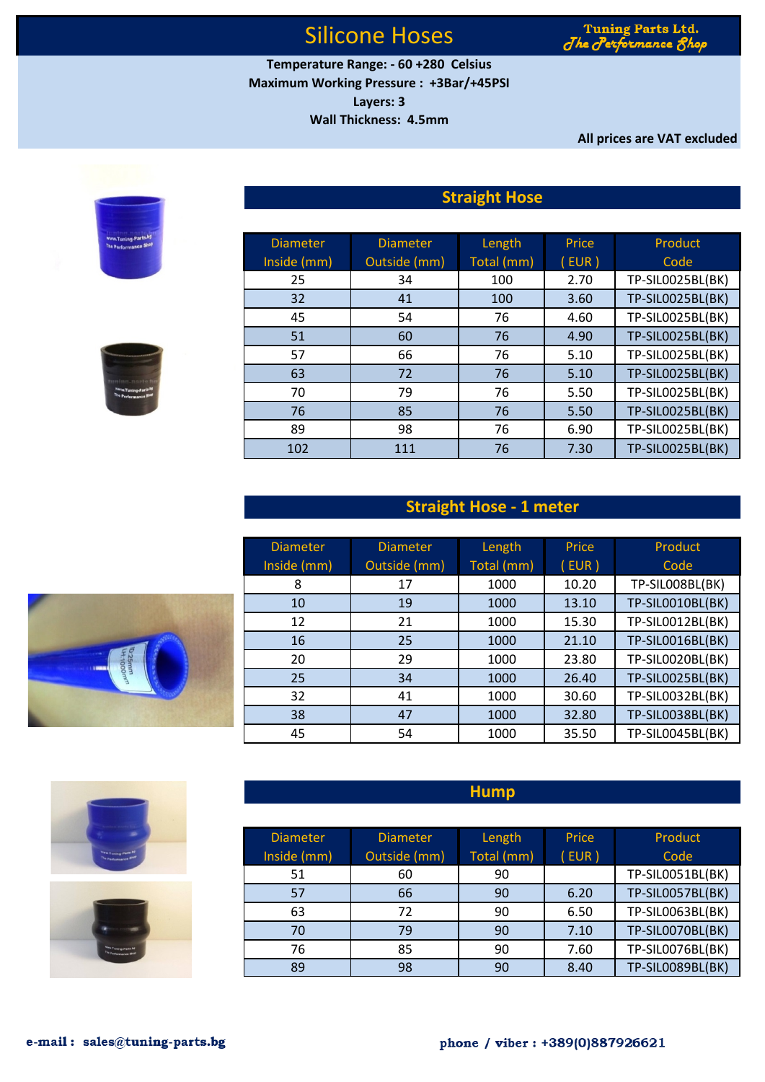Tuning Parts Ltd. The Performance 8

**Temperature Range: - 60 +280 Celsius Maximum Working Pressure : +3Bar/+45PSI Layers: 3**

**Wall Thickness: 4.5mm**

**All prices are VAT excluded**

## **Straight Hose**

| <b>Diameter</b> | <b>Diameter</b> | Length     | Price | Product          |
|-----------------|-----------------|------------|-------|------------------|
| Inside (mm)     | Outside (mm)    | Total (mm) | (EUR) | Code             |
| 25              | 34              | 100        | 2.70  | TP-SIL0025BL(BK) |
| 32              | 41              | 100        | 3.60  | TP-SIL0025BL(BK) |
| 45              | 54              | 76         | 4.60  | TP-SIL0025BL(BK) |
| 51              | 60              | 76         | 4.90  | TP-SIL0025BL(BK) |
| 57              | 66              | 76         | 5.10  | TP-SIL0025BL(BK) |
| 63              | 72              | 76         | 5.10  | TP-SIL0025BL(BK) |
| 70              | 79              | 76         | 5.50  | TP-SIL0025BL(BK) |
| 76              | 85              | 76         | 5.50  | TP-SIL0025BL(BK) |
| 89              | 98              | 76         | 6.90  | TP-SIL0025BL(BK) |
| 102             | 111             | 76         | 7.30  | TP-SIL0025BL(BK) |

### **Straight Hose - 1 meter**

| <b>Diameter</b> | <b>Diameter</b> | Length     | Price | Product                 |
|-----------------|-----------------|------------|-------|-------------------------|
| Inside (mm)     | Outside (mm)    | Total (mm) | EUR)  | Code                    |
| 8               | 17              | 1000       | 10.20 | TP-SILOO8BL(BK)         |
| 10              | 19              | 1000       | 13.10 | TP-SIL0010BL(BK)        |
| 12              | 21              | 1000       | 15.30 | TP-SIL0012BL(BK)        |
| 16              | 25              | 1000       | 21.10 | TP-SIL0016BL(BK)        |
| 20              | 29              | 1000       | 23.80 | TP-SIL0020BL(BK)        |
| 25              | 34              | 1000       | 26.40 | TP-SIL0025BL(BK)        |
| 32              | 41              | 1000       | 30.60 | TP-SIL0032BL(BK)        |
| 38              | 47              | 1000       | 32.80 | <b>TP-SIL0038BL(BK)</b> |
| 45              | 54              | 1000       | 35.50 | TP-SIL0045BL(BK)        |





| <b>Diameter</b> | <b>Diameter</b> | Length     | Price | Product                 |
|-----------------|-----------------|------------|-------|-------------------------|
| Inside (mm)     | Outside (mm)    | Total (mm) | EUR)  | Code                    |
| 51              | 60              | 90         |       | TP-SIL0051BL(BK)        |
| 57              | 66              | 90         | 6.20  | TP-SIL0057BL(BK)        |
| 63              | 72              | 90         | 6.50  | TP-SIL0063BL(BK)        |
| 70              | 79              | 90         | 7.10  | TP-SIL0070BL(BK)        |
| 76              | 85              | 90         | 7.60  | TP-SIL0076BL(BK)        |
| 89              | 98              | 90         | 8.40  | <b>TP-SIL0089BL(BK)</b> |

**Hump**





ming-Part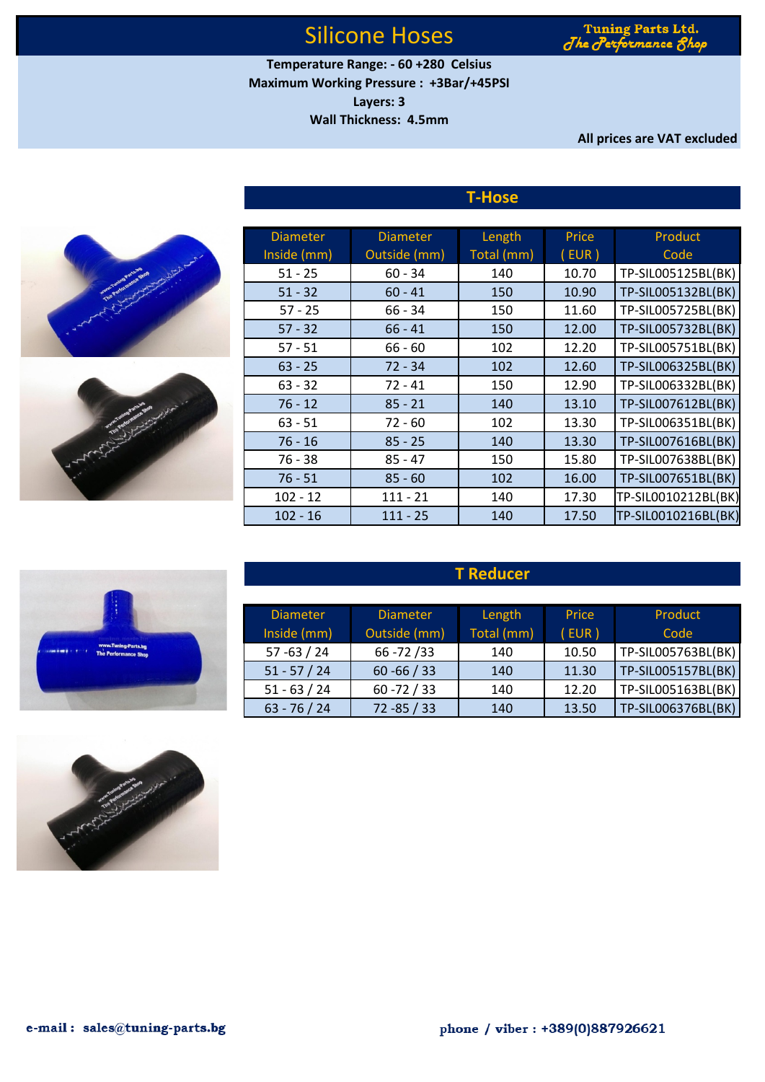Tuning Parts Ltd. The Performance &

**Maximum Working Pressure : +3Bar/+45PSI Layers: 3 Temperature Range: - 60 +280 Celsius**

**Wall Thickness: 4.5mm**

**All prices are VAT excluded**

|  | Americans Parts in<br>The Pertonniance Shop | $\sigma$ |  |
|--|---------------------------------------------|----------|--|
|  |                                             |          |  |
|  |                                             |          |  |



| <b>Diameter</b> | <b>Diameter</b> | Length     | Price    | Product             |
|-----------------|-----------------|------------|----------|---------------------|
| Inside (mm)     | Outside (mm)    | Total (mm) | $($ EUR) | Code                |
| $51 - 25$       | $60 - 34$       | 140        | 10.70    | TP-SIL005125BL(BK)  |
| $51 - 32$       | $60 - 41$       | 150        | 10.90    | TP-SIL005132BL(BK)  |
| $57 - 25$       | $66 - 34$       | 150        | 11.60    | TP-SIL005725BL(BK)  |
| $57 - 32$       | $66 - 41$       | 150        | 12.00    | TP-SIL005732BL(BK)  |
| $57 - 51$       | $66 - 60$       | 102        | 12.20    | TP-SIL005751BL(BK)  |
| $63 - 25$       | $72 - 34$       | 102        | 12.60    | TP-SIL006325BL(BK)  |
| $63 - 32$       | $72 - 41$       | 150        | 12.90    | TP-SIL006332BL(BK)  |
| $76 - 12$       | $85 - 21$       | 140        | 13.10    | TP-SIL007612BL(BK)  |
| $63 - 51$       | $72 - 60$       | 102        | 13.30    | TP-SIL006351BL(BK)  |
| $76 - 16$       | $85 - 25$       | 140        | 13.30    | TP-SIL007616BL(BK)  |
| $76 - 38$       | $85 - 47$       | 150        | 15.80    | TP-SIL007638BL(BK)  |
| $76 - 51$       | $85 - 60$       | 102        | 16.00    | TP-SIL007651BL(BK)  |
| $102 - 12$      | $111 - 21$      | 140        | 17.30    | TP-SIL0010212BL(BK) |
| $102 - 16$      | $111 - 25$      | 140        | 17.50    | TP-SIL0010216BL(BK) |

**T-Hose**

### **T Reducer**

| <b>Diameter</b> | <b>Diameter</b> | Length     | Price | Product            |
|-----------------|-----------------|------------|-------|--------------------|
| Inside (mm)     | Outside (mm)    | Total (mm) | (EUR) | Code               |
| $57 - 63 / 24$  | $66 - 72 / 33$  | 140        | 10.50 | TP-SIL005763BL(BK) |
| $51 - 57 / 24$  | $60 - 66 / 33$  | 140        | 11.30 | TP-SIL005157BL(BK) |
| $51 - 63 / 24$  | $60 - 72 / 33$  | 140        | 12.20 | TP-SIL005163BL(BK) |
| $63 - 76 / 24$  | $72 - 85 / 33$  | 140        | 13.50 | TP-SIL006376BL(BK) |

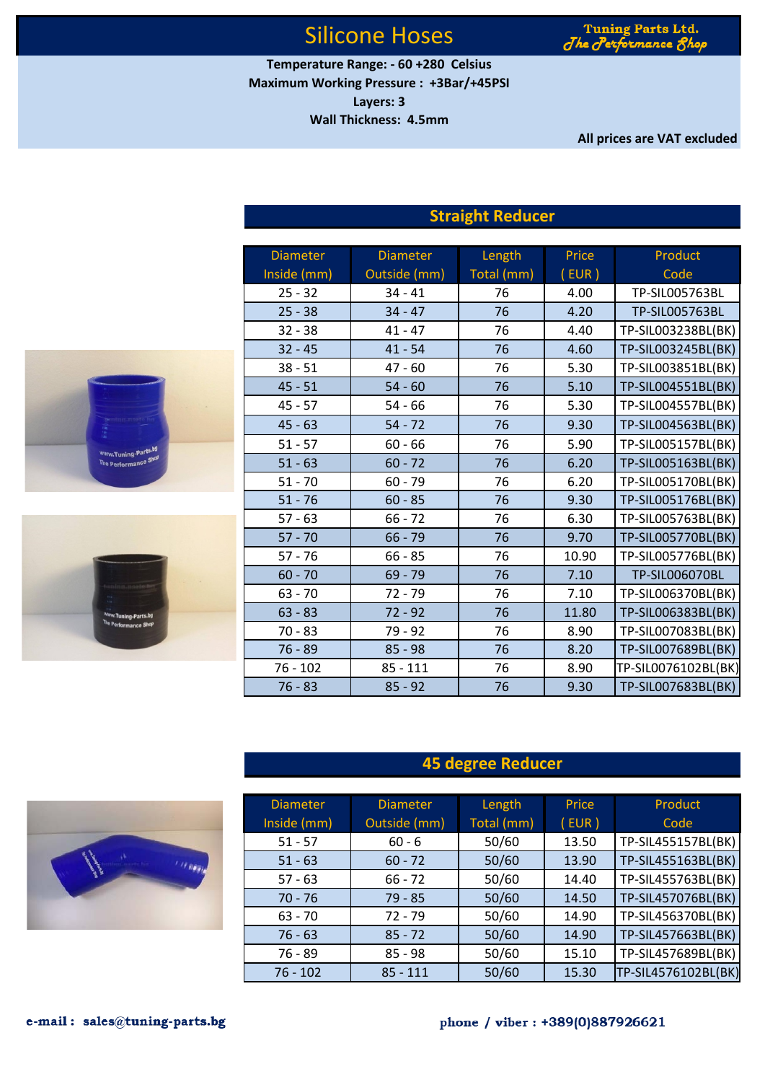Tuning Parts Ltd. The Performance 81

**Temperature Range: - 60 +280 Celsius Maximum Working Pressure : +3Bar/+45PSI Layers: 3**

**Wall Thickness: 4.5mm**

**All prices are VAT excluded**

|                      | <b>Diameter</b> | <b>Diameter</b> | Length     | Price | Product             |
|----------------------|-----------------|-----------------|------------|-------|---------------------|
|                      | Inside (mm)     | Outside (mm)    | Total (mm) | (EUR) | Code                |
|                      | $25 - 32$       | $34 - 41$       | 76         | 4.00  | TP-SIL005763BL      |
|                      | $25 - 38$       | $34 - 47$       | 76         | 4.20  | TP-SIL005763BL      |
|                      | $32 - 38$       | $41 - 47$       | 76         | 4.40  | TP-SIL003238BL(BK)  |
|                      | $32 - 45$       | $41 - 54$       | 76         | 4.60  | TP-SIL003245BL(BK)  |
|                      | $38 - 51$       | $47 - 60$       | 76         | 5.30  | TP-SIL003851BL(BK)  |
|                      | $45 - 51$       | $54 - 60$       | 76         | 5.10  | TP-SIL004551BL(BK)  |
|                      | $45 - 57$       | $54 - 66$       | 76         | 5.30  | TP-SIL004557BL(BK)  |
|                      | $45 - 63$       | $54 - 72$       | 76         | 9.30  | TP-SIL004563BL(BK)  |
| Www.Tuning-Parts.bg  | $51 - 57$       | $60 - 66$       | 76         | 5.90  | TP-SIL005157BL(BK)  |
| The Performance Shop | $51 - 63$       | $60 - 72$       | 76         | 6.20  | TP-SIL005163BL(BK)  |
|                      | $51 - 70$       | $60 - 79$       | 76         | 6.20  | TP-SIL005170BL(BK)  |
|                      | $51 - 76$       | $60 - 85$       | 76         | 9.30  | TP-SIL005176BL(BK)  |
|                      | $57 - 63$       | $66 - 72$       | 76         | 6.30  | TP-SIL005763BL(BK)  |
|                      | $57 - 70$       | $66 - 79$       | 76         | 9.70  | TP-SIL005770BL(BK)  |
|                      | $57 - 76$       | $66 - 85$       | 76         | 10.90 | TP-SIL005776BL(BK)  |
|                      | $60 - 70$       | $69 - 79$       | 76         | 7.10  | TP-SIL006070BL      |
|                      | $63 - 70$       | $72 - 79$       | 76         | 7.10  | TP-SIL006370BL(BK)  |
| Www.Tuning-Parts.bg  | $63 - 83$       | $72 - 92$       | 76         | 11.80 | TP-SIL006383BL(BK)  |
| The Performance Shop | $70 - 83$       | $79 - 92$       | 76         | 8.90  | TP-SIL007083BL(BK)  |
|                      | $76 - 89$       | $85 - 98$       | 76         | 8.20  | TP-SIL007689BL(BK)  |
|                      | $76 - 102$      | $85 - 111$      | 76         | 8.90  | TP-SIL0076102BL(BK) |
|                      | $76 - 83$       | $85 - 92$       | 76         | 9.30  | TP-SIL007683BL(BK)  |

## **Straight Reducer**

## **45 degree Reducer**

| <b>Diameter</b><br>Inside (mm) | <b>Diameter</b><br>Outside (mm) | Length<br>Total (mm) | Price<br>(EUR) | Product<br>Code     |
|--------------------------------|---------------------------------|----------------------|----------------|---------------------|
| $51 - 57$                      | $60 - 6$                        | 50/60                | 13.50          | TP-SIL455157BL(BK)  |
| $51 - 63$                      | $60 - 72$                       | 50/60                | 13.90          | TP-SIL455163BL(BK)  |
| $57 - 63$                      | $66 - 72$                       | 50/60                | 14.40          | TP-SIL455763BL(BK)  |
| $70 - 76$                      | $79 - 85$                       | 50/60                | 14.50          | TP-SIL457076BL(BK)  |
| $63 - 70$                      | $72 - 79$                       | 50/60                | 14.90          | TP-SIL456370BL(BK)  |
| $76 - 63$                      | $85 - 72$                       | 50/60                | 14.90          | TP-SIL457663BL(BK)  |
| 76 - 89                        | $85 - 98$                       | 50/60                | 15.10          | TP-SIL457689BL(BK)  |
| $76 - 102$                     | $85 - 111$                      | 50/60                | 15.30          | TP-SIL4576102BL(BK) |

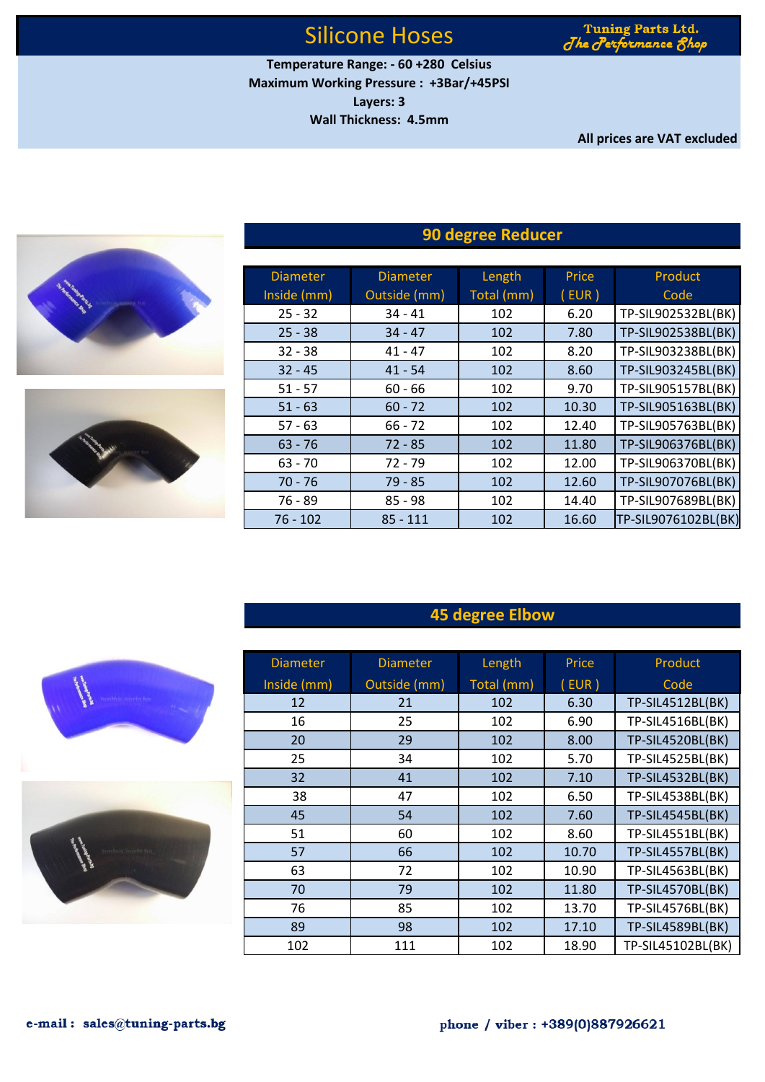Tuning Parts Ltd. The Performance 8

**Maximum Working Pressure : +3Bar/+45PSI Layers: 3 Wall Thickness: 4.5mm Temperature Range: - 60 +280 Celsius**

**All prices are VAT excluded**





| <b>Diameter</b> | <b>Diameter</b> | Length     | Price | Product             |
|-----------------|-----------------|------------|-------|---------------------|
| Inside (mm)     | Outside (mm)    | Total (mm) | (EUR) | Code                |
| $25 - 32$       | $34 - 41$       | 102        | 6.20  | TP-SIL902532BL(BK)  |
| $25 - 38$       | $34 - 47$       | 102        | 7.80  | TP-SIL902538BL(BK)  |
| $32 - 38$       | $41 - 47$       | 102        | 8.20  | TP-SIL903238BL(BK)  |
| $32 - 45$       | $41 - 54$       | 102        | 8.60  | TP-SIL903245BL(BK)  |
| $51 - 57$       | $60 - 66$       | 102        | 9.70  | TP-SIL905157BL(BK)  |
| $51 - 63$       | $60 - 72$       | 102        | 10.30 | TP-SIL905163BL(BK)  |
| $57 - 63$       | $66 - 72$       | 102        | 12.40 | TP-SIL905763BL(BK)  |
| $63 - 76$       | $72 - 85$       | 102        | 11.80 | TP-SIL906376BL(BK)  |
| $63 - 70$       | $72 - 79$       | 102        | 12.00 | TP-SIL906370BL(BK)  |
| $70 - 76$       | $79 - 85$       | 102        | 12.60 | TP-SIL907076BL(BK)  |
| $76 - 89$       | $85 - 98$       | 102        | 14.40 | TP-SIL907689BL(BK)  |
| $76 - 102$      | $85 - 111$      | 102        | 16.60 | TP-SIL9076102BL(BK) |

## **90 degree Reducer**

## **45 degree Elbow**

| <b>Diameter</b> | <b>Diameter</b> | Length     | Price | Product                 |
|-----------------|-----------------|------------|-------|-------------------------|
| Inside (mm)     | Outside (mm)    | Total (mm) | (EUR) | Code                    |
| 12              | 21              | 102        | 6.30  | <b>TP-SIL4512BL(BK)</b> |
| 16              | 25              | 102        | 6.90  | TP-SIL4516BL(BK)        |
| 20              | 29              | 102        | 8.00  | TP-SIL4520BL(BK)        |
| 25              | 34              | 102        | 5.70  | TP-SIL4525BL(BK)        |
| 32              | 41              | 102        | 7.10  | <b>TP-SIL4532BL(BK)</b> |
| 38              | 47              | 102        | 6.50  | TP-SIL4538BL(BK)        |
| 45              | 54              | 102        | 7.60  | TP-SIL4545BL(BK)        |
| 51              | 60              | 102        | 8.60  | TP-SIL4551BL(BK)        |
| 57              | 66              | 102        | 10.70 | TP-SIL4557BL(BK)        |
| 63              | 72              | 102        | 10.90 | TP-SIL4563BL(BK)        |
| 70              | 79              | 102        | 11.80 | TP-SIL4570BL(BK)        |
| 76              | 85              | 102        | 13.70 | TP-SIL4576BL(BK)        |
| 89              | 98              | 102        | 17.10 | <b>TP-SIL4589BL(BK)</b> |
| 102             | 111             | 102        | 18.90 | TP-SIL45102BL(BK)       |



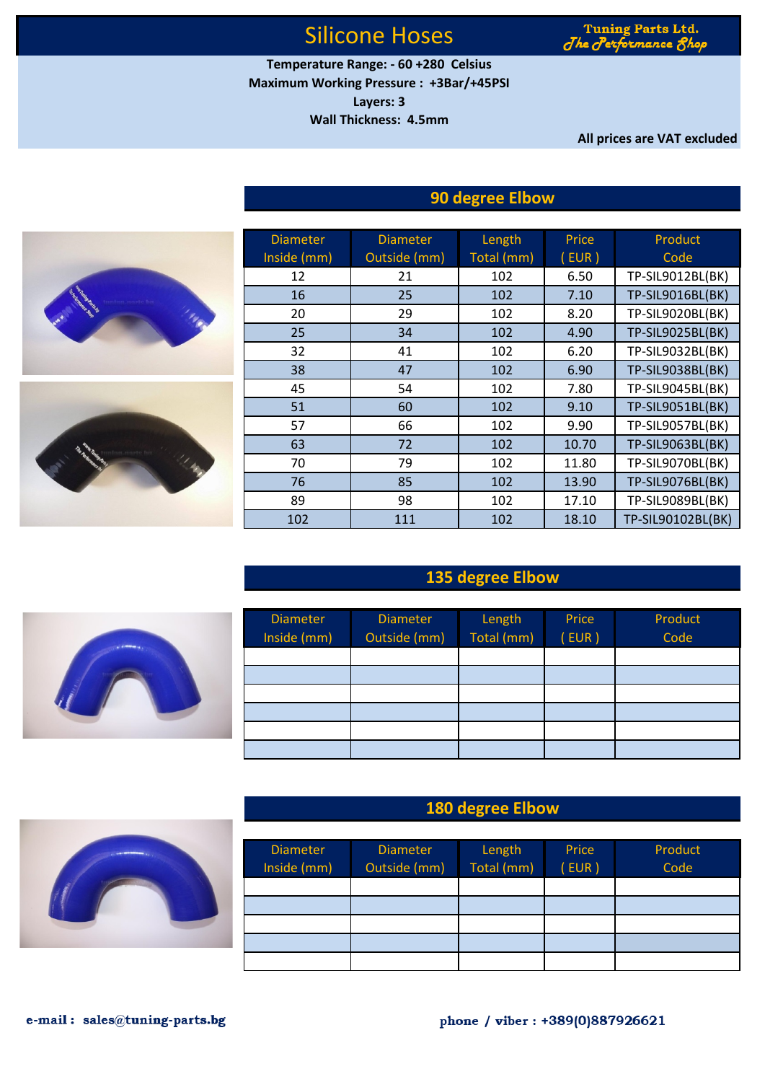Tuning Parts Ltd. formance A  $J$ he  $J$ erj

**Temperature Range: - 60 +280 Celsius Maximum Working Pressure : +3Bar/+45PSI**

**Layers: 3**

**Wall Thickness: 4.5mm**

**All prices are VAT excluded**

### **90 degree Elbow**



### **135 degree Elbow**



#### **180 degree Elbow**

| <b>Diameter</b><br>Inside (mm) | <b>Diameter</b><br>Outside (mm) | Length<br>Total (mm) | Price<br>EUR) | Product<br>Code |
|--------------------------------|---------------------------------|----------------------|---------------|-----------------|
|                                |                                 |                      |               |                 |
|                                |                                 |                      |               |                 |
|                                |                                 |                      |               |                 |
|                                |                                 |                      |               |                 |
|                                |                                 |                      |               |                 |